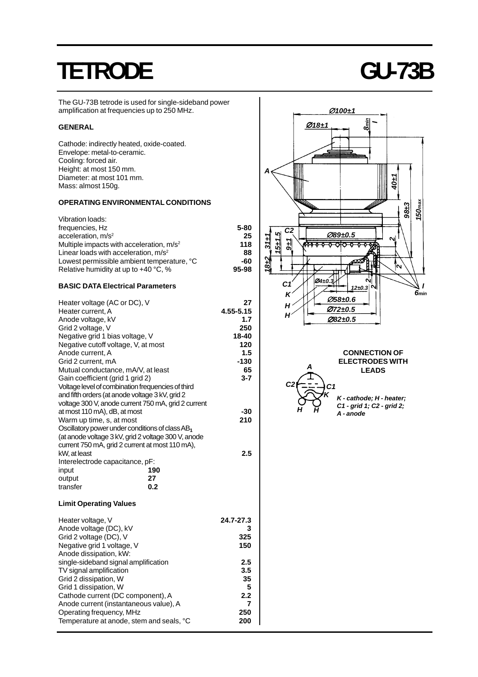# **TETRODE GU-73B**

The GU-73B tetrode is used for single-sideband power amplification at frequencies up to 250 MHz.

#### **GENERAL**

Cathode: indirectly heated, oxide-coated. Envelope: metal-to-ceramic. Cooling: forced air. Height: at most 150 mm. Diameter: at most 101 mm. Mass: almost 150g.

### **OPERATING ENVIRONMENTAL CONDITIONS**

| Vibration loads:                           |          |
|--------------------------------------------|----------|
| frequencies, Hz                            | $5 - 80$ |
| acceleration, $m/s2$                       | 25       |
| Multiple impacts with acceleration, $m/s2$ | 118      |
| Linear loads with acceleration, $m/s2$     | 88       |
| Lowest permissible ambient temperature, °C | -60      |
| Relative humidity at up to +40 °C, %       | 95-98    |
|                                            |          |

## **BASIC DATA Electrical Parameters**

| Heater voltage (AC or DC), V<br>Heater current, A   | 27<br>4.55-5.15 |
|-----------------------------------------------------|-----------------|
| Anode voltage, kV                                   | 1.7             |
| Grid 2 voltage, V                                   | 250             |
| Negative grid 1 bias voltage, V                     | 18-40           |
| Negative cutoff voltage, V, at most                 | 120             |
| Anode current, A                                    | 1.5             |
| Grid 2 current, mA                                  | $-130$          |
| Mutual conductance, mA/V, at least                  | 65              |
| Gain coefficient (grid 1 grid 2)                    | $3 - 7$         |
| Voltage level of combination frequencies of third   |                 |
| and fifth orders (at anode voltage 3 kV, grid 2     |                 |
| voltage 300 V, anode current 750 mA, grid 2 current |                 |
| at most 110 mA), dB, at most                        | $-30$           |
| Warm up time, s, at most                            | 210             |
| Oscillatory power under conditions of class $AB_1$  |                 |
| (at anode voltage 3 kV, grid 2 voltage 300 V, anode |                 |
| current 750 mA, grid 2 current at most 110 mA),     |                 |
| kW, at least                                        | 2.5             |
| Interelectrode capacitance, pF:                     |                 |
| 190<br>input                                        |                 |
| 27<br>output                                        |                 |
| transfer<br>0.2                                     |                 |
| <b>Limit Operating Values</b>                       |                 |
| Heater voltage, V                                   | 24.7-27.3       |
| Anode voltage (DC), kV                              | 3               |
| Grid 2 voltage (DC), V                              | 325             |
| Negative grid 1 voltage, V                          | 150             |
| Anode dissipation, kW:                              |                 |
| single-sideband signal amplification                | 2.5             |
| TV signal amplification                             | 3.5             |
| Grid 2 dissipation, W                               | 35              |
| Grid 1 dissipation, W                               | 5               |
| Cathode current (DC component), A                   | 2.2             |
| Anode current (instantaneous value), A              | 7               |
| Operating frequency, MHz                            | 250             |
| Temperature at anode, stem and seals, °C            | 200             |